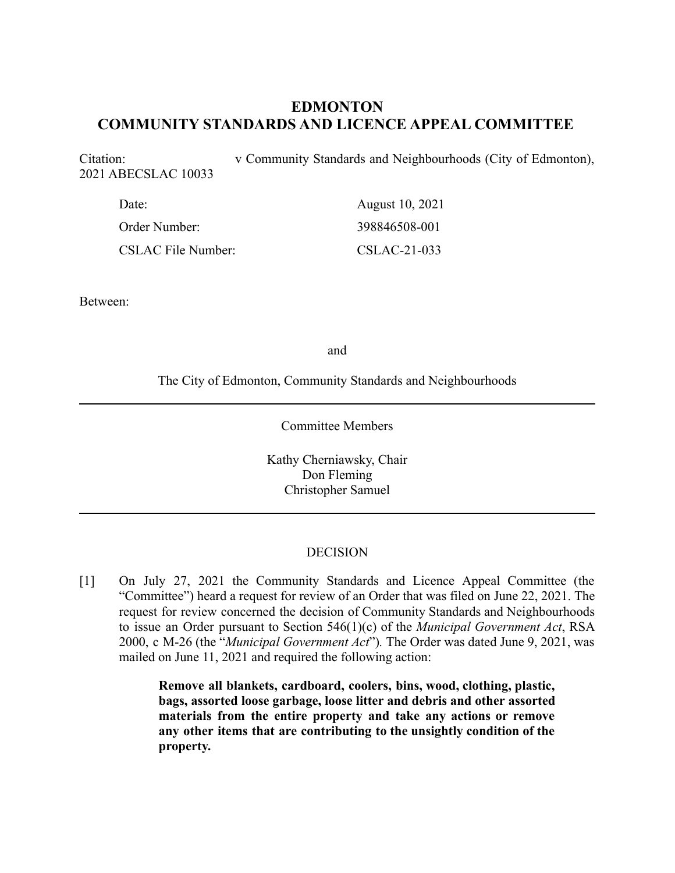# **EDMONTON COMMUNITY STANDARDS AND LICENCE APPEAL COMMITTEE**

Citation: v Community Standards and Neighbourhoods (City of Edmonton), 2021 ABECSLAC 10033

| Date:                     | August 10, 2021 |
|---------------------------|-----------------|
| Order Number:             | 398846508-001   |
| <b>CSLAC File Number:</b> | CSLAC-21-033    |

Between:

and

The City of Edmonton, Community Standards and Neighbourhoods

Committee Members

Kathy Cherniawsky, Chair Don Fleming Christopher Samuel

#### DECISION

[1] On July 27, 2021 the Community Standards and Licence Appeal Committee (the "Committee") heard a request for review of an Order that was filed on June 22, 2021. The request for review concerned the decision of Community Standards and Neighbourhoods to issue an Order pursuant to Section 546(1)(c) of the *Municipal Government Act*, RSA 2000, c M-26 (the "*Municipal Government Act*")*.* The Order was dated June 9, 2021, was mailed on June 11, 2021 and required the following action:

> **Remove all blankets, cardboard, coolers, bins, wood, clothing, plastic, bags, assorted loose garbage, loose litter and debris and other assorted materials from the entire property and take any actions or remove any other items that are contributing to the unsightly condition of the property.**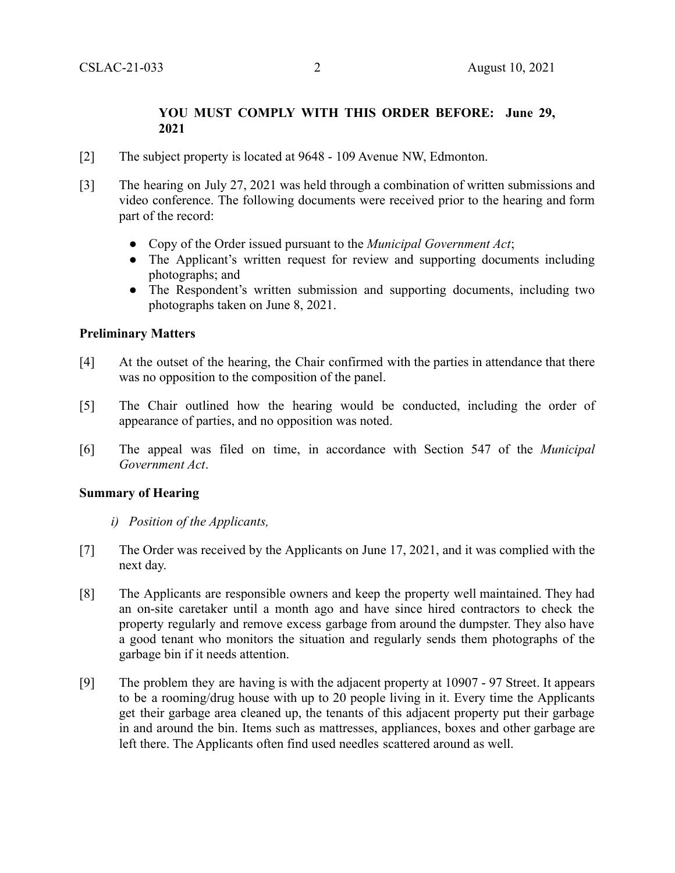## **YOU MUST COMPLY WITH THIS ORDER BEFORE: June 29, 2021**

- [2] The subject property is located at 9648 109 Avenue NW, Edmonton.
- [3] The hearing on July 27, 2021 was held through a combination of written submissions and video conference. The following documents were received prior to the hearing and form part of the record:
	- Copy of the Order issued pursuant to the *Municipal Government Act*;
	- The Applicant's written request for review and supporting documents including photographs; and
	- The Respondent's written submission and supporting documents, including two photographs taken on June 8, 2021.

## **Preliminary Matters**

- [4] At the outset of the hearing, the Chair confirmed with the parties in attendance that there was no opposition to the composition of the panel.
- [5] The Chair outlined how the hearing would be conducted, including the order of appearance of parties, and no opposition was noted.
- [6] The appeal was filed on time, in accordance with Section 547 of the *Municipal Government Act*.

#### **Summary of Hearing**

- *i) Position of the Applicants,*
- [7] The Order was received by the Applicants on June 17, 2021, and it was complied with the next day.
- [8] The Applicants are responsible owners and keep the property well maintained. They had an on-site caretaker until a month ago and have since hired contractors to check the property regularly and remove excess garbage from around the dumpster. They also have a good tenant who monitors the situation and regularly sends them photographs of the garbage bin if it needs attention.
- [9] The problem they are having is with the adjacent property at 10907 97 Street. It appears to be a rooming/drug house with up to 20 people living in it. Every time the Applicants get their garbage area cleaned up, the tenants of this adjacent property put their garbage in and around the bin. Items such as mattresses, appliances, boxes and other garbage are left there. The Applicants often find used needles scattered around as well.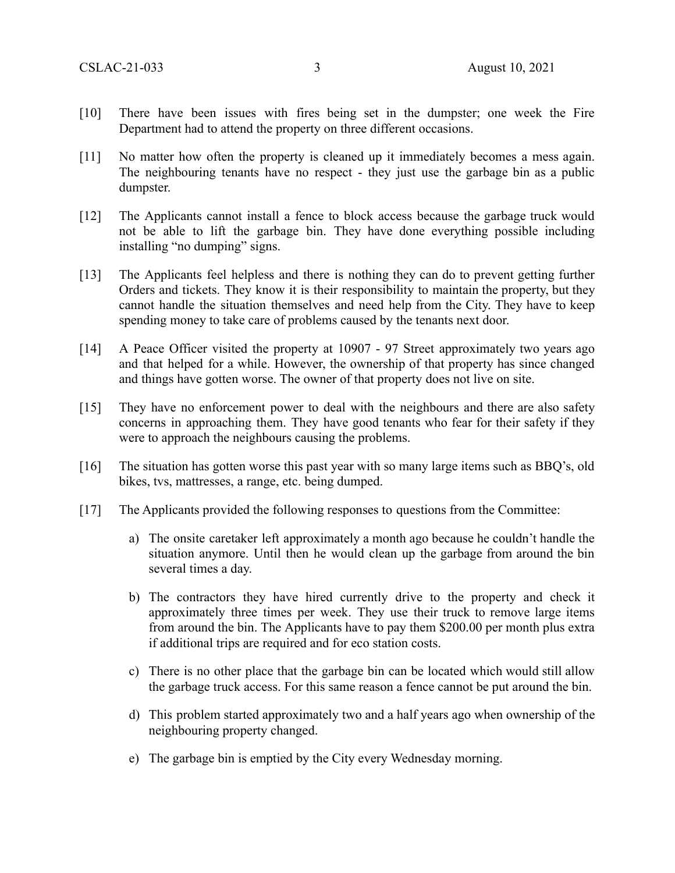- [10] There have been issues with fires being set in the dumpster; one week the Fire Department had to attend the property on three different occasions.
- [11] No matter how often the property is cleaned up it immediately becomes a mess again. The neighbouring tenants have no respect - they just use the garbage bin as a public dumpster.
- [12] The Applicants cannot install a fence to block access because the garbage truck would not be able to lift the garbage bin. They have done everything possible including installing "no dumping" signs.
- [13] The Applicants feel helpless and there is nothing they can do to prevent getting further Orders and tickets. They know it is their responsibility to maintain the property, but they cannot handle the situation themselves and need help from the City. They have to keep spending money to take care of problems caused by the tenants next door.
- [14] A Peace Officer visited the property at 10907 97 Street approximately two years ago and that helped for a while. However, the ownership of that property has since changed and things have gotten worse. The owner of that property does not live on site.
- [15] They have no enforcement power to deal with the neighbours and there are also safety concerns in approaching them. They have good tenants who fear for their safety if they were to approach the neighbours causing the problems.
- [16] The situation has gotten worse this past year with so many large items such as BBQ's, old bikes, tvs, mattresses, a range, etc. being dumped.
- [17] The Applicants provided the following responses to questions from the Committee:
	- a) The onsite caretaker left approximately a month ago because he couldn't handle the situation anymore. Until then he would clean up the garbage from around the bin several times a day.
	- b) The contractors they have hired currently drive to the property and check it approximately three times per week. They use their truck to remove large items from around the bin. The Applicants have to pay them \$200.00 per month plus extra if additional trips are required and for eco station costs.
	- c) There is no other place that the garbage bin can be located which would still allow the garbage truck access. For this same reason a fence cannot be put around the bin.
	- d) This problem started approximately two and a half years ago when ownership of the neighbouring property changed.
	- e) The garbage bin is emptied by the City every Wednesday morning.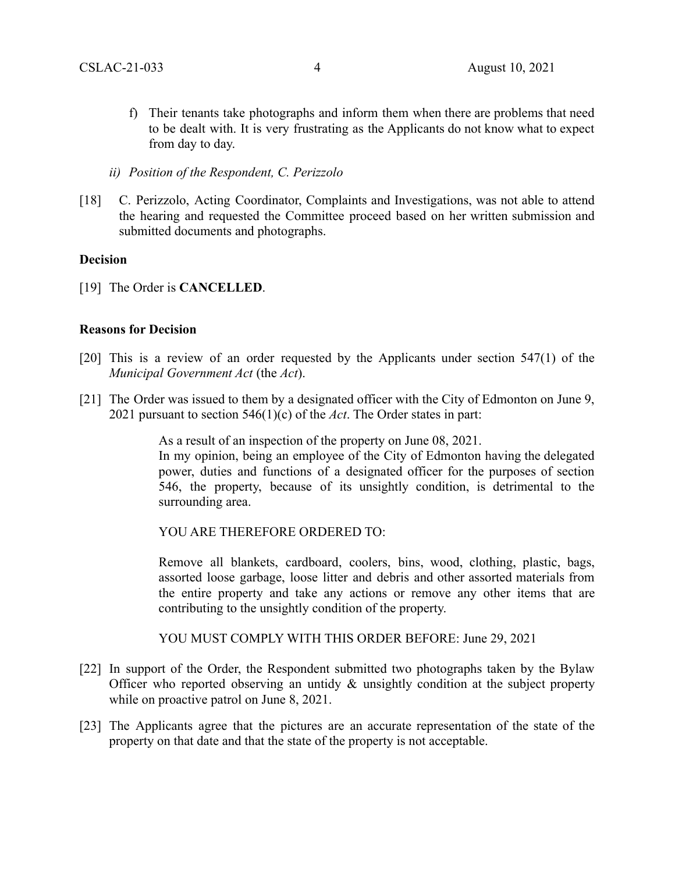- f) Their tenants take photographs and inform them when there are problems that need to be dealt with. It is very frustrating as the Applicants do not know what to expect from day to day.
- *ii) Position of the Respondent, C. Perizzolo*
- [18] C. Perizzolo, Acting Coordinator, Complaints and Investigations, was not able to attend the hearing and requested the Committee proceed based on her written submission and submitted documents and photographs.

#### **Decision**

[19] The Order is **CANCELLED**.

#### **Reasons for Decision**

- [20] This is a review of an order requested by the Applicants under section 547(1) of the *Municipal Government Act* (the *Act*).
- [21] The Order was issued to them by a designated officer with the City of Edmonton on June 9, 2021 pursuant to section 546(1)(c) of the *Act*. The Order states in part:

As a result of an inspection of the property on June 08, 2021.

In my opinion, being an employee of the City of Edmonton having the delegated power, duties and functions of a designated officer for the purposes of section 546, the property, because of its unsightly condition, is detrimental to the surrounding area.

YOU ARE THEREFORE ORDERED TO:

Remove all blankets, cardboard, coolers, bins, wood, clothing, plastic, bags, assorted loose garbage, loose litter and debris and other assorted materials from the entire property and take any actions or remove any other items that are contributing to the unsightly condition of the property.

YOU MUST COMPLY WITH THIS ORDER BEFORE: June 29, 2021

- [22] In support of the Order, the Respondent submitted two photographs taken by the Bylaw Officer who reported observing an untidy & unsightly condition at the subject property while on proactive patrol on June 8, 2021.
- [23] The Applicants agree that the pictures are an accurate representation of the state of the property on that date and that the state of the property is not acceptable.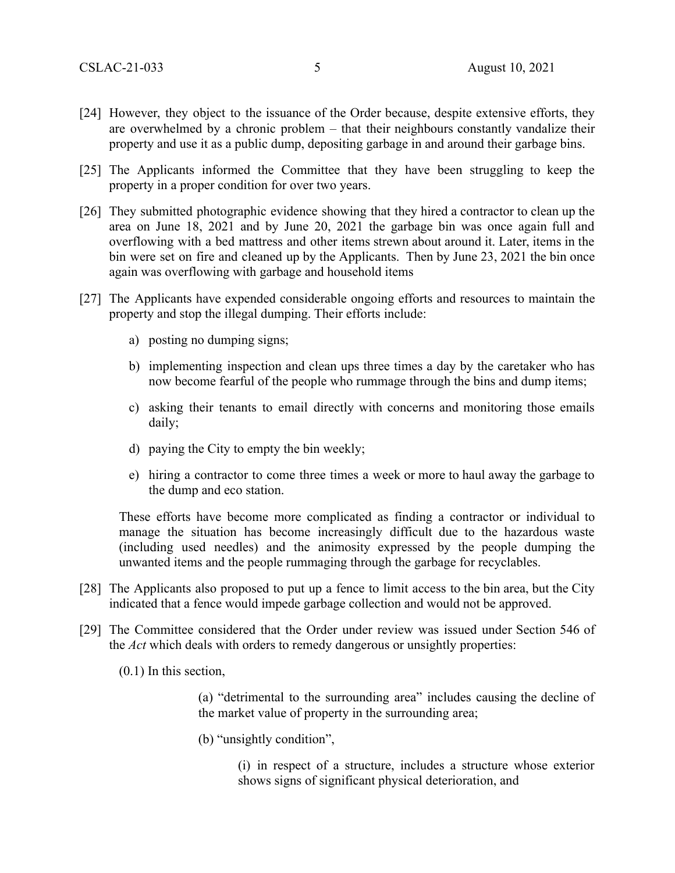- [24] However, they object to the issuance of the Order because, despite extensive efforts, they are overwhelmed by a chronic problem – that their neighbours constantly vandalize their property and use it as a public dump, depositing garbage in and around their garbage bins.
- [25] The Applicants informed the Committee that they have been struggling to keep the property in a proper condition for over two years.
- [26] They submitted photographic evidence showing that they hired a contractor to clean up the area on June 18, 2021 and by June 20, 2021 the garbage bin was once again full and overflowing with a bed mattress and other items strewn about around it. Later, items in the bin were set on fire and cleaned up by the Applicants. Then by June 23, 2021 the bin once again was overflowing with garbage and household items
- [27] The Applicants have expended considerable ongoing efforts and resources to maintain the property and stop the illegal dumping. Their efforts include:
	- a) posting no dumping signs;
	- b) implementing inspection and clean ups three times a day by the caretaker who has now become fearful of the people who rummage through the bins and dump items;
	- c) asking their tenants to email directly with concerns and monitoring those emails daily;
	- d) paying the City to empty the bin weekly;
	- e) hiring a contractor to come three times a week or more to haul away the garbage to the dump and eco station.

These efforts have become more complicated as finding a contractor or individual to manage the situation has become increasingly difficult due to the hazardous waste (including used needles) and the animosity expressed by the people dumping the unwanted items and the people rummaging through the garbage for recyclables.

- [28] The Applicants also proposed to put up a fence to limit access to the bin area, but the City indicated that a fence would impede garbage collection and would not be approved.
- [29] The Committee considered that the Order under review was issued under Section 546 of the *Act* which deals with orders to remedy dangerous or unsightly properties:
	- (0.1) In this section,

(a) "detrimental to the surrounding area" includes causing the decline of the market value of property in the surrounding area;

(b) "unsightly condition",

(i) in respect of a structure, includes a structure whose exterior shows signs of significant physical deterioration, and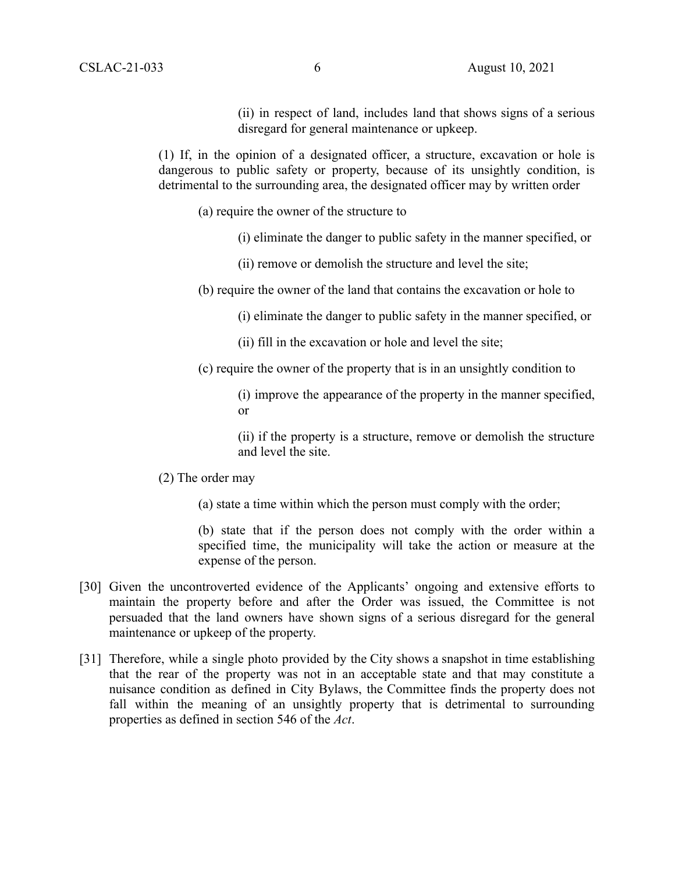(ii) in respect of land, includes land that shows signs of a serious disregard for general maintenance or upkeep.

(1) If, in the opinion of a designated officer, a structure, excavation or hole is dangerous to public safety or property, because of its unsightly condition, is detrimental to the surrounding area, the designated officer may by written order

- (a) require the owner of the structure to
	- (i) eliminate the danger to public safety in the manner specified, or
	- (ii) remove or demolish the structure and level the site;
- (b) require the owner of the land that contains the excavation or hole to
	- (i) eliminate the danger to public safety in the manner specified, or
	- (ii) fill in the excavation or hole and level the site;
- (c) require the owner of the property that is in an unsightly condition to

(i) improve the appearance of the property in the manner specified, or

(ii) if the property is a structure, remove or demolish the structure and level the site.

- (2) The order may
	- (a) state a time within which the person must comply with the order;

(b) state that if the person does not comply with the order within a specified time, the municipality will take the action or measure at the expense of the person.

- [30] Given the uncontroverted evidence of the Applicants' ongoing and extensive efforts to maintain the property before and after the Order was issued, the Committee is not persuaded that the land owners have shown signs of a serious disregard for the general maintenance or upkeep of the property.
- [31] Therefore, while a single photo provided by the City shows a snapshot in time establishing that the rear of the property was not in an acceptable state and that may constitute a nuisance condition as defined in City Bylaws, the Committee finds the property does not fall within the meaning of an unsightly property that is detrimental to surrounding properties as defined in section 546 of the *Act*.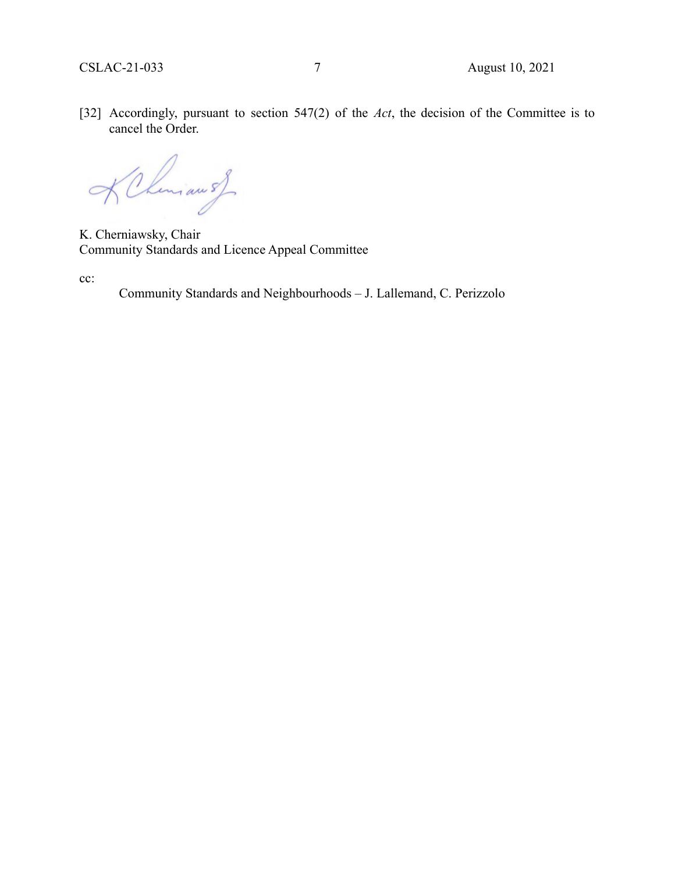[32] Accordingly, pursuant to section 547(2) of the *Act*, the decision of the Committee is to cancel the Order.

KChemian of

K. Cherniawsky, Chair Community Standards and Licence Appeal Committee

cc:

Community Standards and Neighbourhoods – J. Lallemand, C. Perizzolo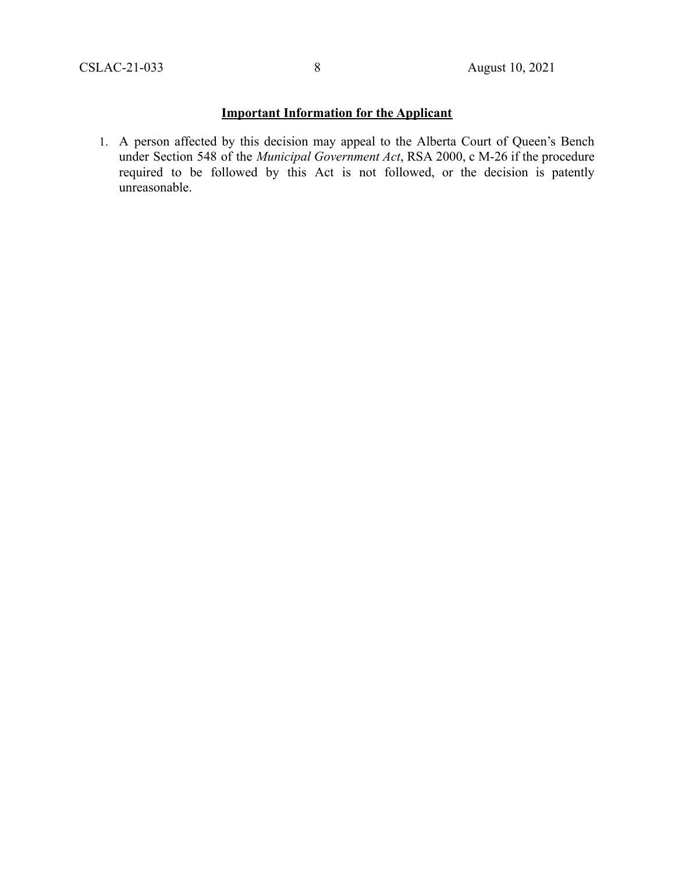## **Important Information for the Applicant**

1. A person affected by this decision may appeal to the Alberta Court of Queen's Bench under Section 548 of the *Municipal Government Act*, RSA 2000, c M-26 if the procedure required to be followed by this Act is not followed, or the decision is patently unreasonable.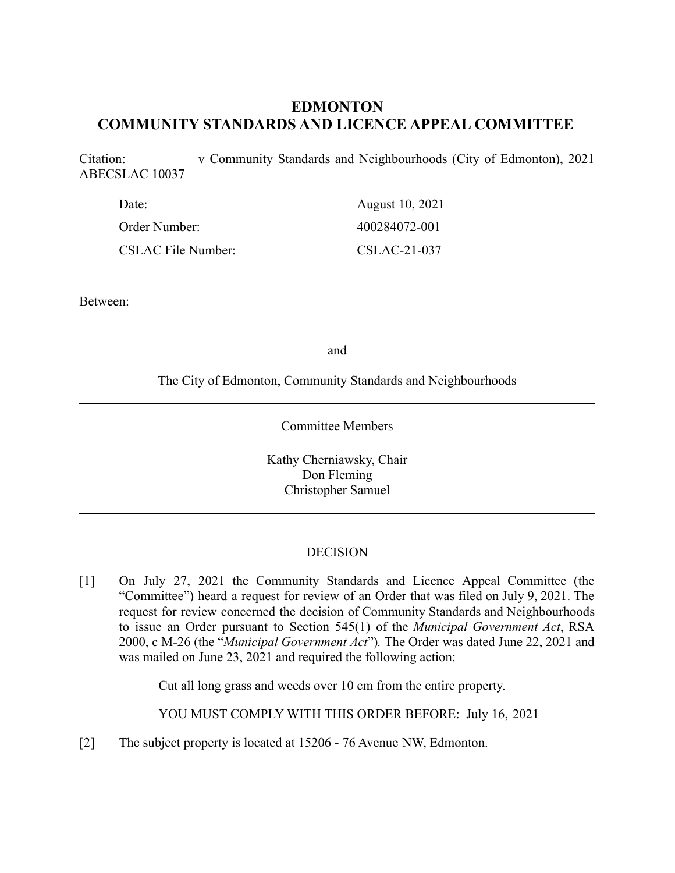# **EDMONTON COMMUNITY STANDARDS AND LICENCE APPEAL COMMITTEE**

Citation: v Community Standards and Neighbourhoods (City of Edmonton), 2021 ABECSLAC 10037

| Date:                     | August 10, 2021 |
|---------------------------|-----------------|
| Order Number:             | 400284072-001   |
| <b>CSLAC File Number:</b> | $CSLAC-21-037$  |

Between:

and

The City of Edmonton, Community Standards and Neighbourhoods

Committee Members

Kathy Cherniawsky, Chair Don Fleming Christopher Samuel

## DECISION

[1] On July 27, 2021 the Community Standards and Licence Appeal Committee (the "Committee") heard a request for review of an Order that was filed on July 9, 2021. The request for review concerned the decision of Community Standards and Neighbourhoods to issue an Order pursuant to Section 545(1) of the *Municipal Government Act*, RSA 2000, c M-26 (the "*Municipal Government Act*")*.* The Order was dated June 22, 2021 and was mailed on June 23, 2021 and required the following action:

Cut all long grass and weeds over 10 cm from the entire property.

YOU MUST COMPLY WITH THIS ORDER BEFORE: July 16, 2021

[2] The subject property is located at 15206 - 76 Avenue NW, Edmonton.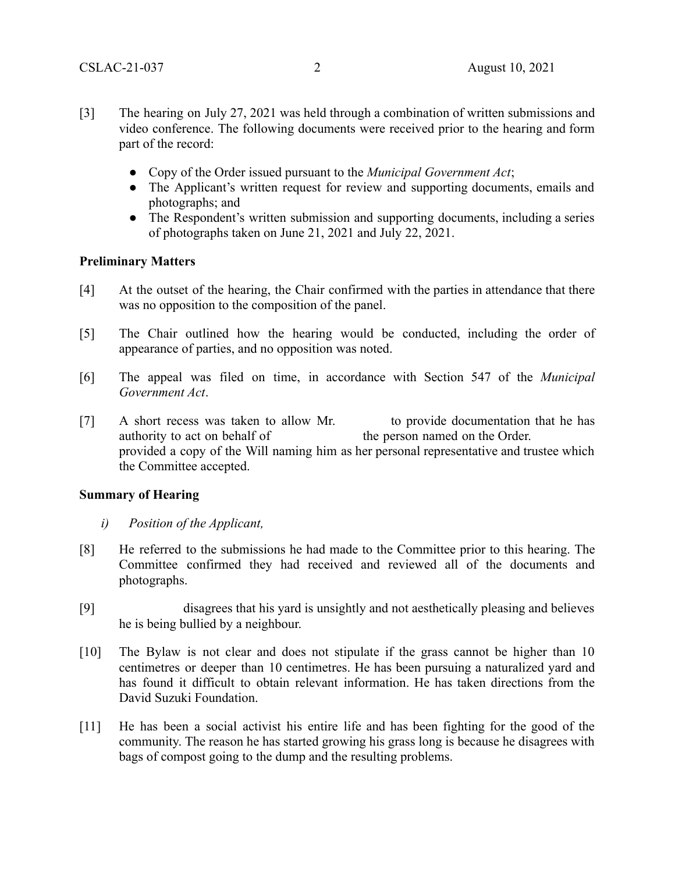- [3] The hearing on July 27, 2021 was held through a combination of written submissions and video conference. The following documents were received prior to the hearing and form part of the record:
	- Copy of the Order issued pursuant to the *Municipal Government Act*;
	- The Applicant's written request for review and supporting documents, emails and photographs; and
	- The Respondent's written submission and supporting documents, including a series of photographs taken on June 21, 2021 and July 22, 2021.

#### **Preliminary Matters**

- [4] At the outset of the hearing, the Chair confirmed with the parties in attendance that there was no opposition to the composition of the panel.
- [5] The Chair outlined how the hearing would be conducted, including the order of appearance of parties, and no opposition was noted.
- [6] The appeal was filed on time, in accordance with Section 547 of the *Municipal Government Act*.
- [7] A short recess was taken to allow Mr. to provide documentation that he has authority to act on behalf of the person named on the Order. provided a copy of the Will naming him as her personal representative and trustee which the Committee accepted.

## **Summary of Hearing**

- *i) Position of the Applicant,*
- [8] He referred to the submissions he had made to the Committee prior to this hearing. The Committee confirmed they had received and reviewed all of the documents and photographs.
- [9] disagrees that his yard is unsightly and not aesthetically pleasing and believes he is being bullied by a neighbour.
- [10] The Bylaw is not clear and does not stipulate if the grass cannot be higher than 10 centimetres or deeper than 10 centimetres. He has been pursuing a naturalized yard and has found it difficult to obtain relevant information. He has taken directions from the David Suzuki Foundation.
- [11] He has been a social activist his entire life and has been fighting for the good of the community. The reason he has started growing his grass long is because he disagrees with bags of compost going to the dump and the resulting problems.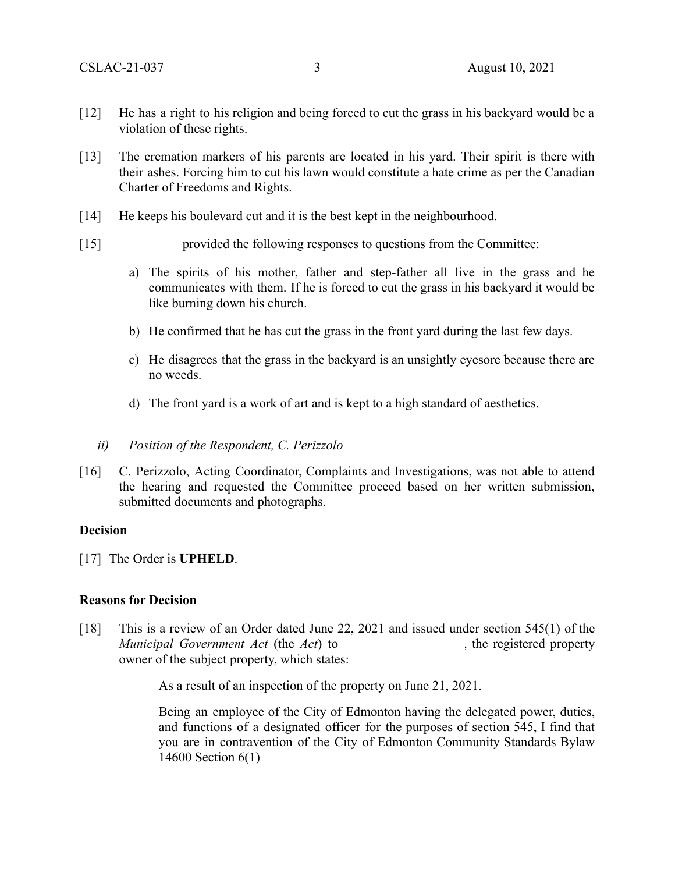- [12] He has a right to his religion and being forced to cut the grass in his backyard would be a violation of these rights.
- [13] The cremation markers of his parents are located in his yard. Their spirit is there with their ashes. Forcing him to cut his lawn would constitute a hate crime as per the Canadian Charter of Freedoms and Rights.
- [14] He keeps his boulevard cut and it is the best kept in the neighbourhood.
- [15] provided the following responses to questions from the Committee:
	- a) The spirits of his mother, father and step-father all live in the grass and he communicates with them. If he is forced to cut the grass in his backyard it would be like burning down his church.
	- b) He confirmed that he has cut the grass in the front yard during the last few days.
	- c) He disagrees that the grass in the backyard is an unsightly eyesore because there are no weeds.
	- d) The front yard is a work of art and is kept to a high standard of aesthetics.
	- *ii) Position of the Respondent, C. Perizzolo*
- [16] C. Perizzolo, Acting Coordinator, Complaints and Investigations, was not able to attend the hearing and requested the Committee proceed based on her written submission, submitted documents and photographs.

#### **Decision**

[17] The Order is **UPHELD**.

#### **Reasons for Decision**

[18] This is a review of an Order dated June 22, 2021 and issued under section 545(1) of the *Municipal Government Act* (the *Act*) to , the registered property owner of the subject property, which states:

As a result of an inspection of the property on June 21, 2021.

Being an employee of the City of Edmonton having the delegated power, duties, and functions of a designated officer for the purposes of section 545, I find that you are in contravention of the City of Edmonton Community Standards Bylaw 14600 Section 6(1)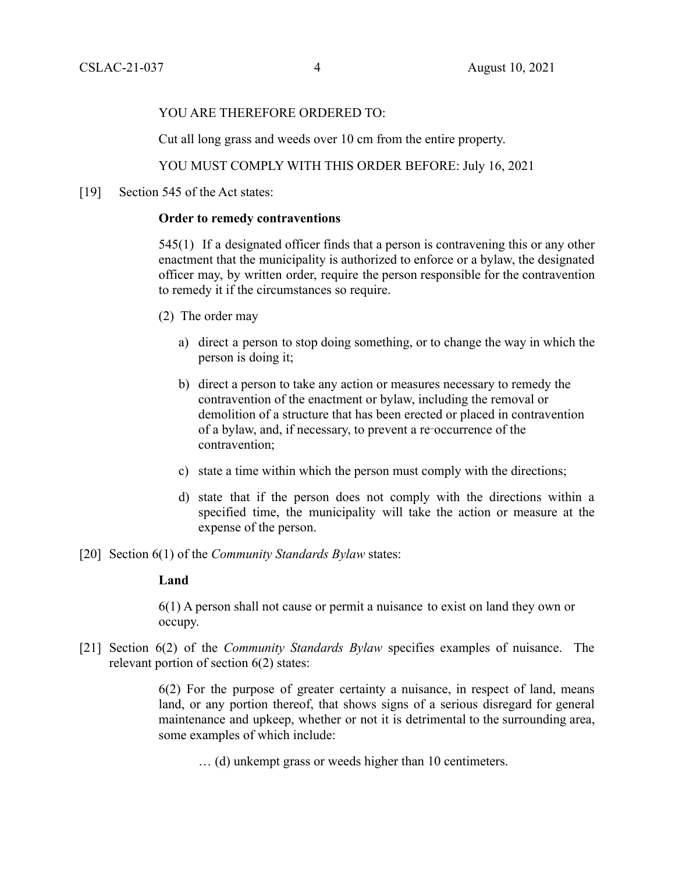#### YOU ARE THEREFORE ORDERED TO:

Cut all long grass and weeds over 10 cm from the entire property.

YOU MUST COMPLY WITH THIS ORDER BEFORE: July 16, 2021

[19] Section 545 of the Act states:

## **Order to remedy contraventions**

545(1) If a designated officer finds that a person is contravening this or any other enactment that the municipality is authorized to enforce or a bylaw, the designated officer may, by written order, require the person responsible for the contravention to remedy it if the circumstances so require.

- (2) The order may
	- a) direct a person to stop doing something, or to change the way in which the person is doing it;
	- b) direct a person to take any action or measures necessary to remedy the contravention of the enactment or bylaw, including the removal or demolition of a structure that has been erected or placed in contravention of a bylaw, and, if necessary, to prevent a re‑occurrence of the contravention;
	- c) state a time within which the person must comply with the directions;
	- d) state that if the person does not comply with the directions within a specified time, the municipality will take the action or measure at the expense of the person.
- [20] Section 6(1) of the *Community Standards Bylaw* states:

## **Land**

6(1) A person shall not cause or permit a nuisance to exist on land they own or occupy.

[21] Section 6(2) of the *Community Standards Bylaw* specifies examples of nuisance. The relevant portion of section 6(2) states:

> 6(2) For the purpose of greater certainty a nuisance, in respect of land, means land, or any portion thereof, that shows signs of a serious disregard for general maintenance and upkeep, whether or not it is detrimental to the surrounding area, some examples of which include:

… (d) unkempt grass or weeds higher than 10 centimeters.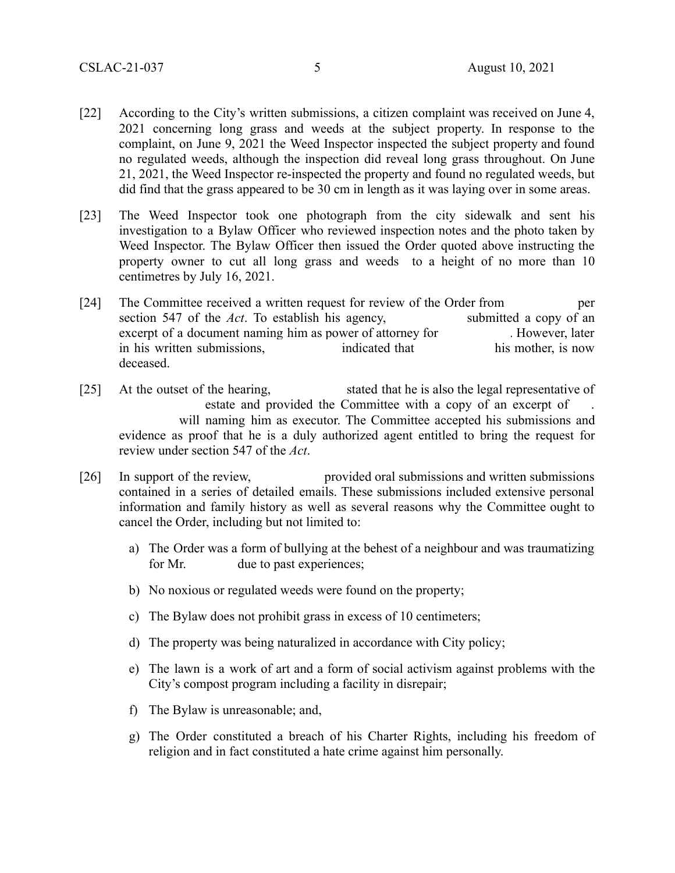- [22] According to the City's written submissions, a citizen complaint was received on June 4, 2021 concerning long grass and weeds at the subject property. In response to the complaint, on June 9, 2021 the Weed Inspector inspected the subject property and found no regulated weeds, although the inspection did reveal long grass throughout. On June 21, 2021, the Weed Inspector re-inspected the property and found no regulated weeds, but did find that the grass appeared to be 30 cm in length as it was laying over in some areas.
- [23] The Weed Inspector took one photograph from the city sidewalk and sent his investigation to a Bylaw Officer who reviewed inspection notes and the photo taken by Weed Inspector. The Bylaw Officer then issued the Order quoted above instructing the property owner to cut all long grass and weeds to a height of no more than 10 centimetres by July 16, 2021.
- [24] The Committee received a written request for review of the Order from per section 547 of the *Act*. To establish his agency, submitted a copy of an excerpt of a document naming him as power of attorney for . However, later<br>in his written submissions, indicated that his mother, is now in his written submissions, deceased.
- [25] At the outset of the hearing, stated that he is also the legal representative of estate and provided the Committee with a copy of an excerpt of will naming him as executor. The Committee accepted his submissions and evidence as proof that he is a duly authorized agent entitled to bring the request for review under section 547 of the *Act*.
- [26] In support of the review, provided oral submissions and written submissions contained in a series of detailed emails. These submissions included extensive personal information and family history as well as several reasons why the Committee ought to cancel the Order, including but not limited to:
	- a) The Order was a form of bullying at the behest of a neighbour and was traumatizing for Mr. due to past experiences;
	- b) No noxious or regulated weeds were found on the property;
	- c) The Bylaw does not prohibit grass in excess of 10 centimeters;
	- d) The property was being naturalized in accordance with City policy;
	- e) The lawn is a work of art and a form of social activism against problems with the City's compost program including a facility in disrepair;
	- f) The Bylaw is unreasonable; and,
	- g) The Order constituted a breach of his Charter Rights, including his freedom of religion and in fact constituted a hate crime against him personally.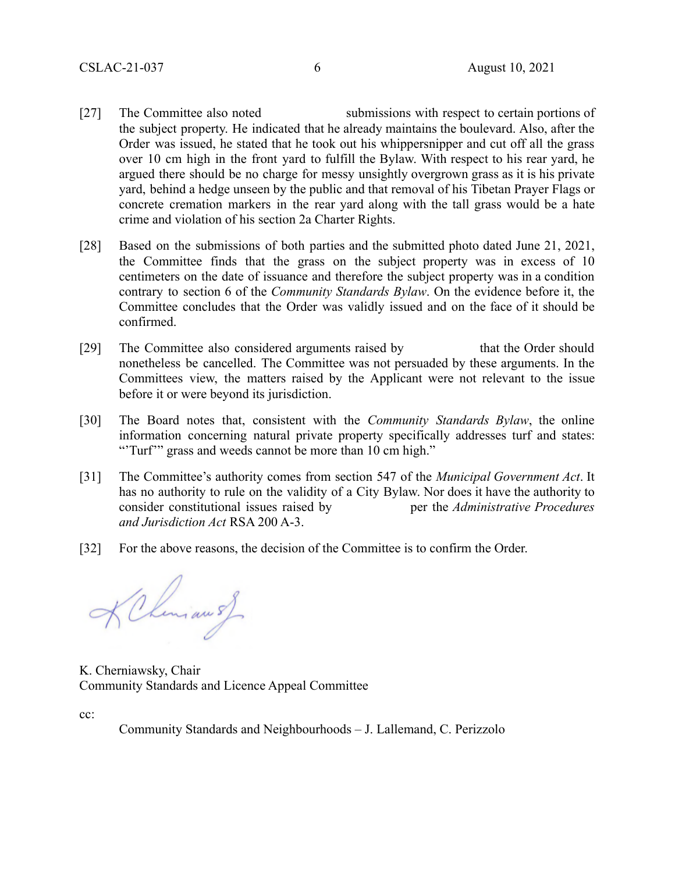- [27] The Committee also noted submissions with respect to certain portions of the subject property. He indicated that he already maintains the boulevard. Also, after the Order was issued, he stated that he took out his whippersnipper and cut off all the grass over 10 cm high in the front yard to fulfill the Bylaw. With respect to his rear yard, he argued there should be no charge for messy unsightly overgrown grass as it is his private yard, behind a hedge unseen by the public and that removal of his Tibetan Prayer Flags or concrete cremation markers in the rear yard along with the tall grass would be a hate crime and violation of his section 2a Charter Rights.
- [28] Based on the submissions of both parties and the submitted photo dated June 21, 2021, the Committee finds that the grass on the subject property was in excess of 10 centimeters on the date of issuance and therefore the subject property was in a condition contrary to section 6 of the *Community Standards Bylaw*. On the evidence before it, the Committee concludes that the Order was validly issued and on the face of it should be confirmed.
- [29] The Committee also considered arguments raised by that the Order should nonetheless be cancelled. The Committee was not persuaded by these arguments. In the Committees view, the matters raised by the Applicant were not relevant to the issue before it or were beyond its jurisdiction.
- [30] The Board notes that, consistent with the *Community Standards Bylaw*, the online information concerning natural private property specifically addresses turf and states: "Turf" grass and weeds cannot be more than 10 cm high."
- [31] The Committee's authority comes from section 547 of the *Municipal Government Act*. It has no authority to rule on the validity of a City Bylaw. Nor does it have the authority to consider constitutional issues raised by per the *Administrative Procedures and Jurisdiction Act* RSA 200 A-3.
- [32] For the above reasons, the decision of the Committee is to confirm the Order.

KChemian s)

K. Cherniawsky, Chair Community Standards and Licence Appeal Committee

cc:

Community Standards and Neighbourhoods – J. Lallemand, C. Perizzolo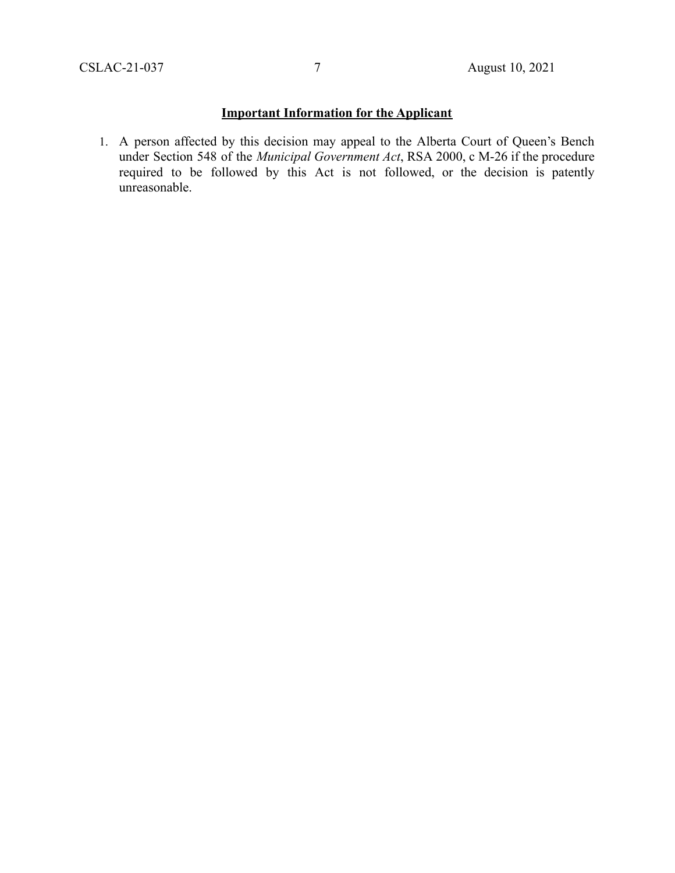## **Important Information for the Applicant**

1. A person affected by this decision may appeal to the Alberta Court of Queen's Bench under Section 548 of the *Municipal Government Act*, RSA 2000, c M-26 if the procedure required to be followed by this Act is not followed, or the decision is patently unreasonable.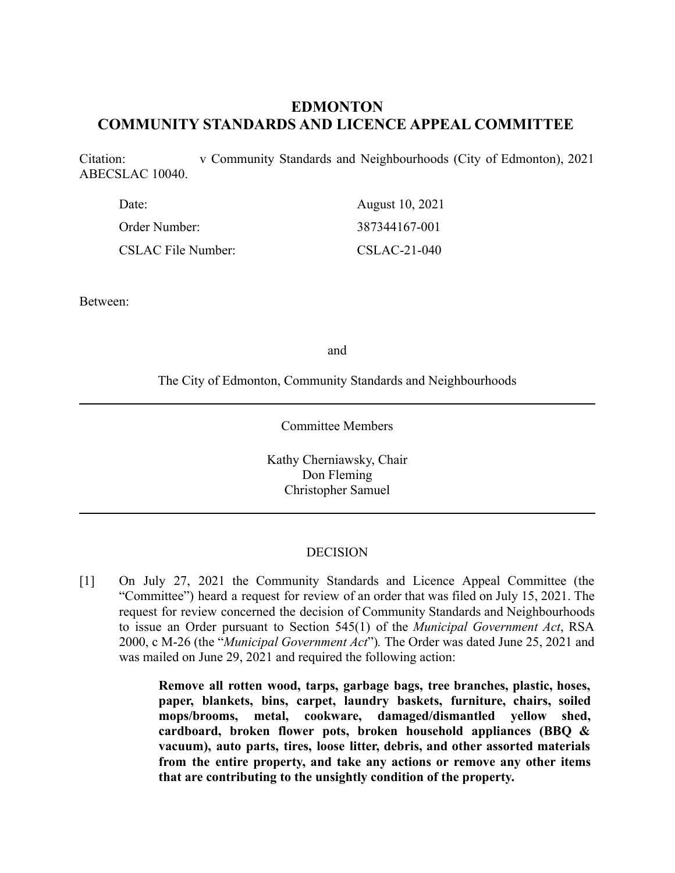## **EDMONTON COMMUNITY STANDARDS AND LICENCE APPEAL COMMITTEE**

Citation: v Community Standards and Neighbourhoods (City of Edmonton), 2021 ABECSLAC 10040.

| Date:                     | August 10, 2021 |
|---------------------------|-----------------|
| Order Number:             | 387344167-001   |
| <b>CSLAC File Number:</b> | $CSLAC-21-040$  |

Between:

and

The City of Edmonton, Community Standards and Neighbourhoods

Committee Members

Kathy Cherniawsky, Chair Don Fleming Christopher Samuel

#### DECISION

[1] On July 27, 2021 the Community Standards and Licence Appeal Committee (the "Committee") heard a request for review of an order that was filed on July 15, 2021. The request for review concerned the decision of Community Standards and Neighbourhoods to issue an Order pursuant to Section 545(1) of the *Municipal Government Act*, RSA 2000, c M-26 (the "*Municipal Government Act*")*.* The Order was dated June 25, 2021 and was mailed on June 29, 2021 and required the following action:

> **Remove all rotten wood, tarps, garbage bags, tree branches, plastic, hoses, paper, blankets, bins, carpet, laundry baskets, furniture, chairs, soiled mops/brooms, metal, cookware, damaged/dismantled yellow shed, cardboard, broken flower pots, broken household appliances (BBQ & vacuum), auto parts, tires, loose litter, debris, and other assorted materials from the entire property, and take any actions or remove any other items that are contributing to the unsightly condition of the property.**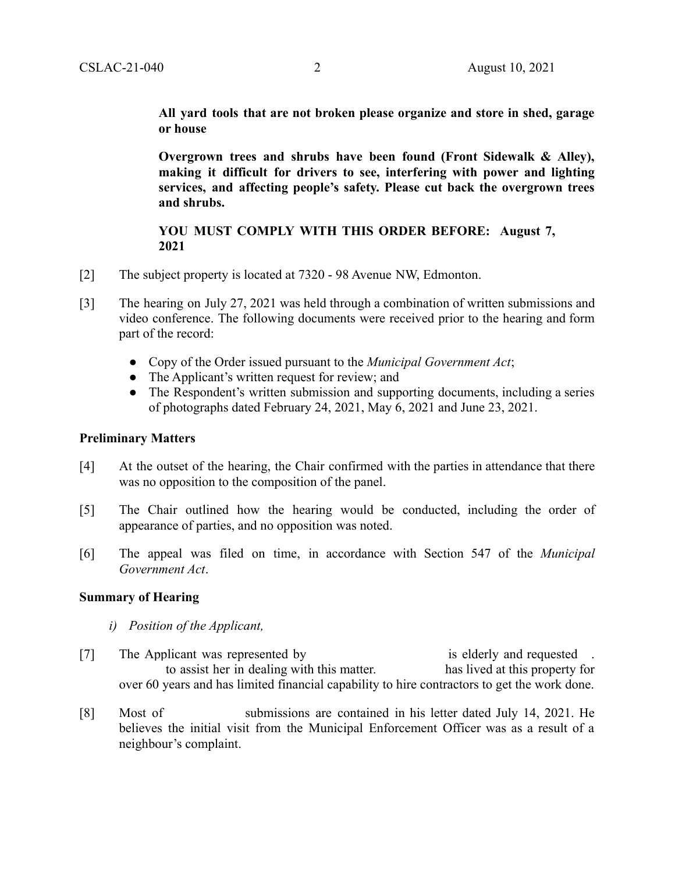**All yard tools that are not broken please organize and store in shed, garage or house**

**Overgrown trees and shrubs have been found (Front Sidewalk & Alley), making it difficult for drivers to see, interfering with power and lighting services, and affecting people's safety. Please cut back the overgrown trees and shrubs.**

## **YOU MUST COMPLY WITH THIS ORDER BEFORE: August 7, 2021**

- [2] The subject property is located at 7320 98 Avenue NW, Edmonton.
- [3] The hearing on July 27, 2021 was held through a combination of written submissions and video conference. The following documents were received prior to the hearing and form part of the record:
	- Copy of the Order issued pursuant to the *Municipal Government Act*;
	- The Applicant's written request for review; and
	- The Respondent's written submission and supporting documents, including a series of photographs dated February 24, 2021, May 6, 2021 and June 23, 2021.

## **Preliminary Matters**

- [4] At the outset of the hearing, the Chair confirmed with the parties in attendance that there was no opposition to the composition of the panel.
- [5] The Chair outlined how the hearing would be conducted, including the order of appearance of parties, and no opposition was noted.
- [6] The appeal was filed on time, in accordance with Section 547 of the *Municipal Government Act*.

## **Summary of Hearing**

- *i) Position of the Applicant,*
- [7] The Applicant was represented by is elderly and requested . to assist her in dealing with this matter. has lived at this property for over 60 years and has limited financial capability to hire contractors to get the work done.
- [8] Most of submissions are contained in his letter dated July 14, 2021. He believes the initial visit from the Municipal Enforcement Officer was as a result of a neighbour's complaint.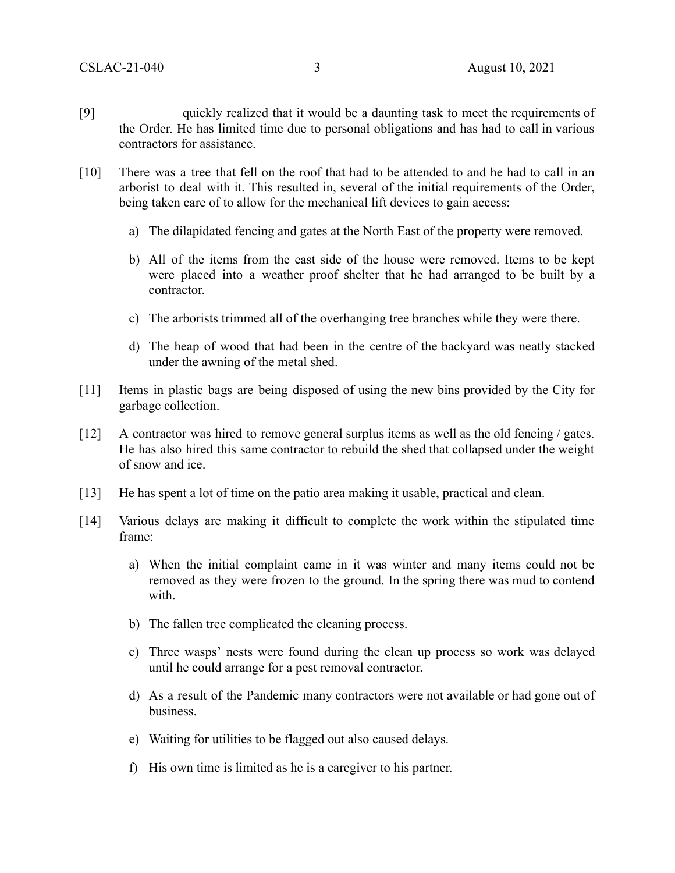- [9] quickly realized that it would be a daunting task to meet the requirements of the Order. He has limited time due to personal obligations and has had to call in various contractors for assistance.
- [10] There was a tree that fell on the roof that had to be attended to and he had to call in an arborist to deal with it. This resulted in, several of the initial requirements of the Order, being taken care of to allow for the mechanical lift devices to gain access:
	- a) The dilapidated fencing and gates at the North East of the property were removed.
	- b) All of the items from the east side of the house were removed. Items to be kept were placed into a weather proof shelter that he had arranged to be built by a contractor.
	- c) The arborists trimmed all of the overhanging tree branches while they were there.
	- d) The heap of wood that had been in the centre of the backyard was neatly stacked under the awning of the metal shed.
- [11] Items in plastic bags are being disposed of using the new bins provided by the City for garbage collection.
- [12] A contractor was hired to remove general surplus items as well as the old fencing / gates. He has also hired this same contractor to rebuild the shed that collapsed under the weight of snow and ice.
- [13] He has spent a lot of time on the patio area making it usable, practical and clean.
- [14] Various delays are making it difficult to complete the work within the stipulated time frame:
	- a) When the initial complaint came in it was winter and many items could not be removed as they were frozen to the ground. In the spring there was mud to contend with.
	- b) The fallen tree complicated the cleaning process.
	- c) Three wasps' nests were found during the clean up process so work was delayed until he could arrange for a pest removal contractor.
	- d) As a result of the Pandemic many contractors were not available or had gone out of business.
	- e) Waiting for utilities to be flagged out also caused delays.
	- f) His own time is limited as he is a caregiver to his partner.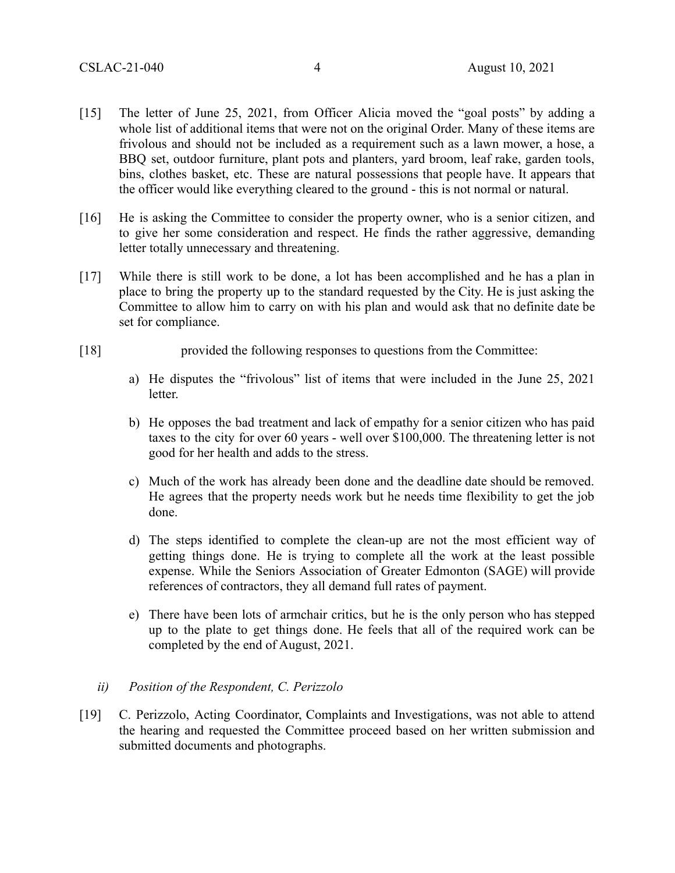- [15] The letter of June 25, 2021, from Officer Alicia moved the "goal posts" by adding a whole list of additional items that were not on the original Order. Many of these items are frivolous and should not be included as a requirement such as a lawn mower, a hose, a BBQ set, outdoor furniture, plant pots and planters, yard broom, leaf rake, garden tools, bins, clothes basket, etc. These are natural possessions that people have. It appears that the officer would like everything cleared to the ground - this is not normal or natural.
- [16] He is asking the Committee to consider the property owner, who is a senior citizen, and to give her some consideration and respect. He finds the rather aggressive, demanding letter totally unnecessary and threatening.
- [17] While there is still work to be done, a lot has been accomplished and he has a plan in place to bring the property up to the standard requested by the City. He is just asking the Committee to allow him to carry on with his plan and would ask that no definite date be set for compliance.
- [18] provided the following responses to questions from the Committee:
	- a) He disputes the "frivolous" list of items that were included in the June 25, 2021 letter.
	- b) He opposes the bad treatment and lack of empathy for a senior citizen who has paid taxes to the city for over 60 years - well over \$100,000. The threatening letter is not good for her health and adds to the stress.
	- c) Much of the work has already been done and the deadline date should be removed. He agrees that the property needs work but he needs time flexibility to get the job done.
	- d) The steps identified to complete the clean-up are not the most efficient way of getting things done. He is trying to complete all the work at the least possible expense. While the Seniors Association of Greater Edmonton (SAGE) will provide references of contractors, they all demand full rates of payment.
	- e) There have been lots of armchair critics, but he is the only person who has stepped up to the plate to get things done. He feels that all of the required work can be completed by the end of August, 2021.
	- *ii) Position of the Respondent, C. Perizzolo*
- [19] C. Perizzolo, Acting Coordinator, Complaints and Investigations, was not able to attend the hearing and requested the Committee proceed based on her written submission and submitted documents and photographs.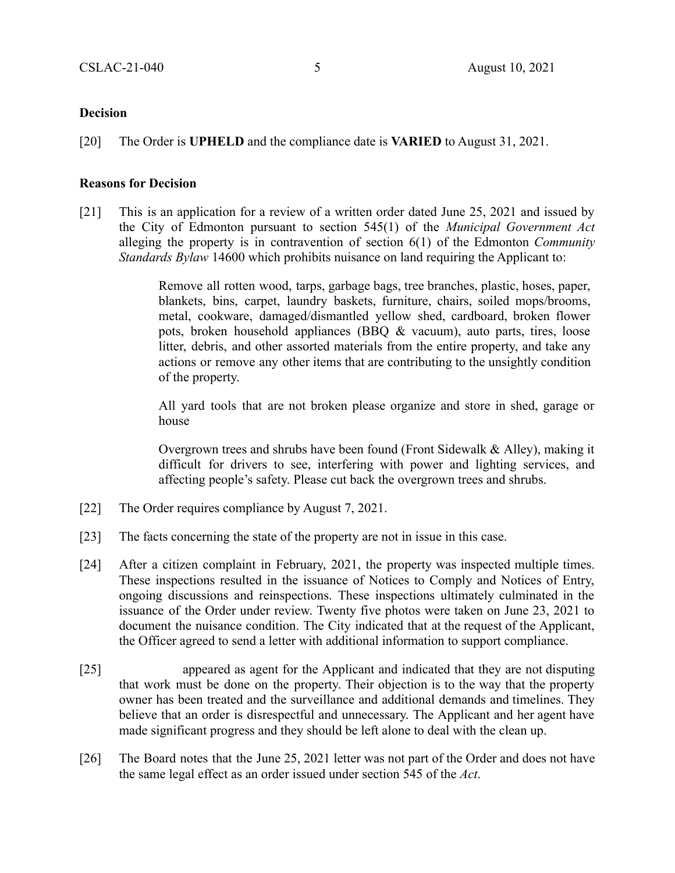#### **Decision**

[20] The Order is **UPHELD** and the compliance date is **VARIED** to August 31, 2021.

#### **Reasons for Decision**

[21] This is an application for a review of a written order dated June 25, 2021 and issued by the City of Edmonton pursuant to section 545(1) of the *Municipal Government Act* alleging the property is in contravention of section 6(1) of the Edmonton *Community Standards Bylaw* 14600 which prohibits nuisance on land requiring the Applicant to:

> Remove all rotten wood, tarps, garbage bags, tree branches, plastic, hoses, paper, blankets, bins, carpet, laundry baskets, furniture, chairs, soiled mops/brooms, metal, cookware, damaged/dismantled yellow shed, cardboard, broken flower pots, broken household appliances (BBQ & vacuum), auto parts, tires, loose litter, debris, and other assorted materials from the entire property, and take any actions or remove any other items that are contributing to the unsightly condition of the property.

> All yard tools that are not broken please organize and store in shed, garage or house

> Overgrown trees and shrubs have been found (Front Sidewalk & Alley), making it difficult for drivers to see, interfering with power and lighting services, and affecting people's safety. Please cut back the overgrown trees and shrubs.

- [22] The Order requires compliance by August 7, 2021.
- [23] The facts concerning the state of the property are not in issue in this case.
- [24] After a citizen complaint in February, 2021, the property was inspected multiple times. These inspections resulted in the issuance of Notices to Comply and Notices of Entry, ongoing discussions and reinspections. These inspections ultimately culminated in the issuance of the Order under review. Twenty five photos were taken on June 23, 2021 to document the nuisance condition. The City indicated that at the request of the Applicant, the Officer agreed to send a letter with additional information to support compliance.
- [25] appeared as agent for the Applicant and indicated that they are not disputing that work must be done on the property. Their objection is to the way that the property owner has been treated and the surveillance and additional demands and timelines. They believe that an order is disrespectful and unnecessary. The Applicant and her agent have made significant progress and they should be left alone to deal with the clean up.
- [26] The Board notes that the June 25, 2021 letter was not part of the Order and does not have the same legal effect as an order issued under section 545 of the *Act*.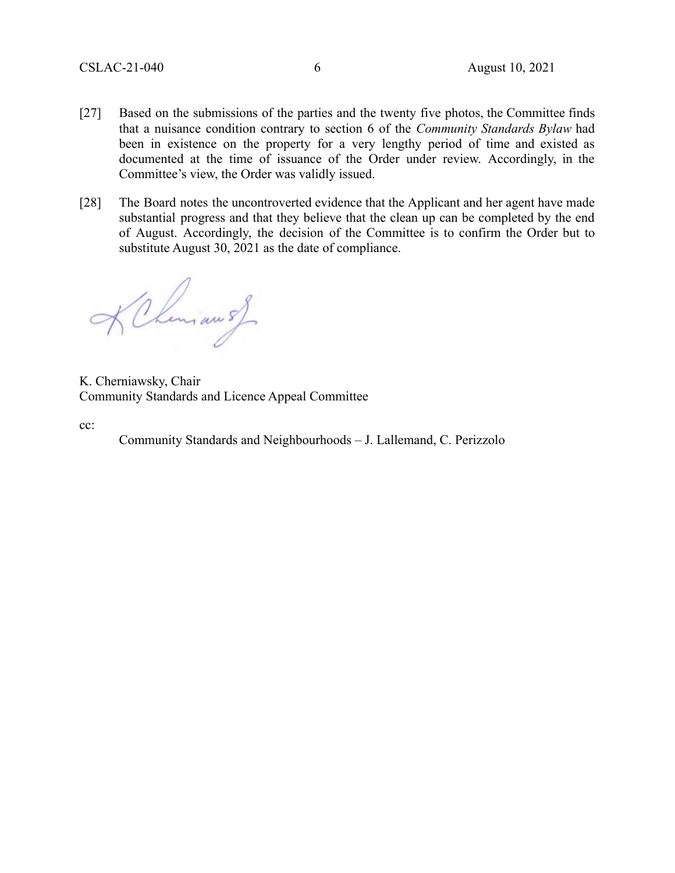- [27] Based on the submissions of the parties and the twenty five photos, the Committee finds that a nuisance condition contrary to section 6 of the *Community Standards Bylaw* had been in existence on the property for a very lengthy period of time and existed as documented at the time of issuance of the Order under review. Accordingly, in the Committee's view, the Order was validly issued.
- [28] The Board notes the uncontroverted evidence that the Applicant and her agent have made substantial progress and that they believe that the clean up can be completed by the end of August. Accordingly, the decision of the Committee is to confirm the Order but to substitute August 30, 2021 as the date of compliance.

KChiman s)

K. Cherniawsky, Chair Community Standards and Licence Appeal Committee

cc:

Community Standards and Neighbourhoods – J. Lallemand, C. Perizzolo